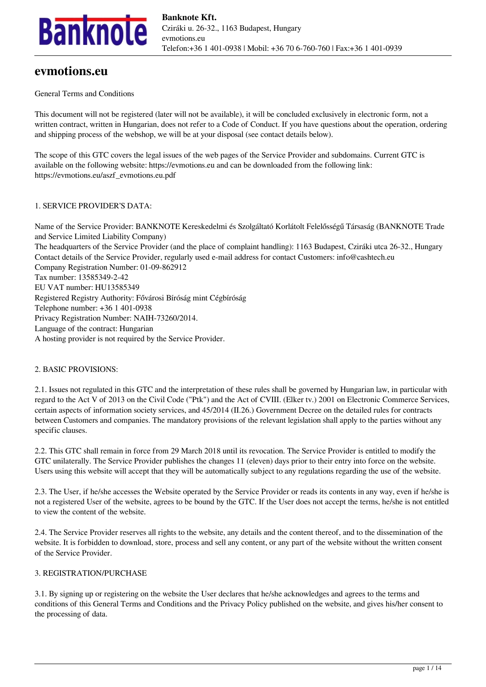

# **evmotions.eu**

# General Terms and Conditions

This document will not be registered (later will not be available), it will be concluded exclusively in electronic form, not a written contract, written in Hungarian, does not refer to a Code of Conduct. If you have questions about the operation, ordering and shipping process of the webshop, we will be at your disposal (see contact details below).

The scope of this GTC covers the legal issues of the web pages of the Service Provider and subdomains. Current GTC is available on the following website: https://evmotions.eu and can be downloaded from the following link: https://evmotions.eu/aszf\_evmotions.eu.pdf

### 1. SERVICE PROVIDER'S DATA:

Name of the Service Provider: BANKNOTE Kereskedelmi és Szolgáltató Korlátolt Felelősségű Társaság (BANKNOTE Trade and Service Limited Liability Company) The headquarters of the Service Provider (and the place of complaint handling): 1163 Budapest, Cziráki utca 26-32., Hungary Contact details of the Service Provider, regularly used e-mail address for contact Customers: info@cashtech.eu Company Registration Number: 01-09-862912 Tax number: 13585349-2-42 EU VAT number: HU13585349 Registered Registry Authority: Fővárosi Bíróság mint Cégbíróság Telephone number: +36 1 401-0938 Privacy Registration Number: NAIH-73260/2014. Language of the contract: Hungarian A hosting provider is not required by the Service Provider.

# 2. BASIC PROVISIONS:

2.1. Issues not regulated in this GTC and the interpretation of these rules shall be governed by Hungarian law, in particular with regard to the Act V of 2013 on the Civil Code ("Ptk") and the Act of CVIII. (Elker tv.) 2001 on Electronic Commerce Services, certain aspects of information society services, and 45/2014 (II.26.) Government Decree on the detailed rules for contracts between Customers and companies. The mandatory provisions of the relevant legislation shall apply to the parties without any specific clauses.

2.2. This GTC shall remain in force from 29 March 2018 until its revocation. The Service Provider is entitled to modify the GTC unilaterally. The Service Provider publishes the changes 11 (eleven) days prior to their entry into force on the website. Users using this website will accept that they will be automatically subject to any regulations regarding the use of the website.

2.3. The User, if he/she accesses the Website operated by the Service Provider or reads its contents in any way, even if he/she is not a registered User of the website, agrees to be bound by the GTC. If the User does not accept the terms, he/she is not entitled to view the content of the website.

2.4. The Service Provider reserves all rights to the website, any details and the content thereof, and to the dissemination of the website. It is forbidden to download, store, process and sell any content, or any part of the website without the written consent of the Service Provider.

### 3. REGISTRATION/PURCHASE

3.1. By signing up or registering on the website the User declares that he/she acknowledges and agrees to the terms and conditions of this General Terms and Conditions and the Privacy Policy published on the website, and gives his/her consent to the processing of data.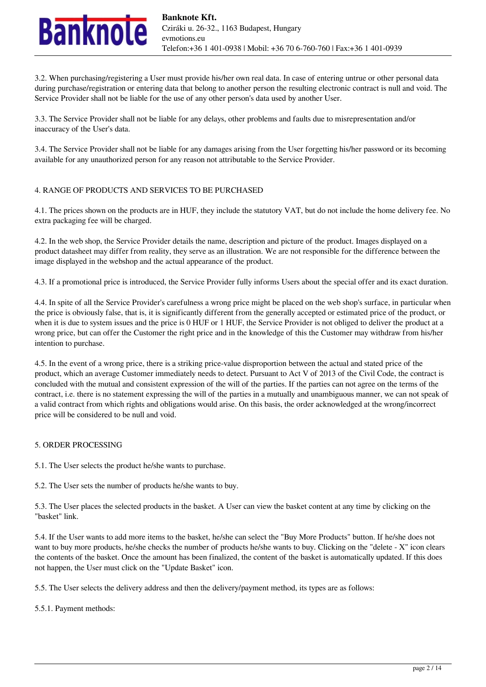

3.2. When purchasing/registering a User must provide his/her own real data. In case of entering untrue or other personal data during purchase/registration or entering data that belong to another person the resulting electronic contract is null and void. The Service Provider shall not be liable for the use of any other person's data used by another User.

3.3. The Service Provider shall not be liable for any delays, other problems and faults due to misrepresentation and/or inaccuracy of the User's data.

3.4. The Service Provider shall not be liable for any damages arising from the User forgetting his/her password or its becoming available for any unauthorized person for any reason not attributable to the Service Provider.

### 4. RANGE OF PRODUCTS AND SERVICES TO BE PURCHASED

4.1. The prices shown on the products are in HUF, they include the statutory VAT, but do not include the home delivery fee. No extra packaging fee will be charged.

4.2. In the web shop, the Service Provider details the name, description and picture of the product. Images displayed on a product datasheet may differ from reality, they serve as an illustration. We are not responsible for the difference between the image displayed in the webshop and the actual appearance of the product.

4.3. If a promotional price is introduced, the Service Provider fully informs Users about the special offer and its exact duration.

4.4. In spite of all the Service Provider's carefulness a wrong price might be placed on the web shop's surface, in particular when the price is obviously false, that is, it is significantly different from the generally accepted or estimated price of the product, or when it is due to system issues and the price is 0 HUF or 1 HUF, the Service Provider is not obliged to deliver the product at a wrong price, but can offer the Customer the right price and in the knowledge of this the Customer may withdraw from his/her intention to purchase.

4.5. In the event of a wrong price, there is a striking price-value disproportion between the actual and stated price of the product, which an average Customer immediately needs to detect. Pursuant to Act V of 2013 of the Civil Code, the contract is concluded with the mutual and consistent expression of the will of the parties. If the parties can not agree on the terms of the contract, i.e. there is no statement expressing the will of the parties in a mutually and unambiguous manner, we can not speak of a valid contract from which rights and obligations would arise. On this basis, the order acknowledged at the wrong/incorrect price will be considered to be null and void.

# 5. ORDER PROCESSING

5.1. The User selects the product he/she wants to purchase.

5.2. The User sets the number of products he/she wants to buy.

5.3. The User places the selected products in the basket. A User can view the basket content at any time by clicking on the "basket" link.

5.4. If the User wants to add more items to the basket, he/she can select the "Buy More Products" button. If he/she does not want to buy more products, he/she checks the number of products he/she wants to buy. Clicking on the "delete - X" icon clears the contents of the basket. Once the amount has been finalized, the content of the basket is automatically updated. If this does not happen, the User must click on the "Update Basket" icon.

5.5. The User selects the delivery address and then the delivery/payment method, its types are as follows:

5.5.1. Payment methods: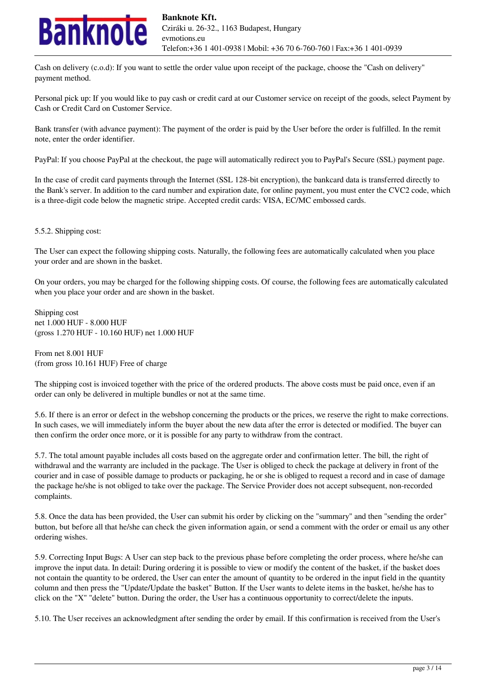

Cash on delivery (c.o.d): If you want to settle the order value upon receipt of the package, choose the "Cash on delivery" payment method.

Personal pick up: If you would like to pay cash or credit card at our Customer service on receipt of the goods, select Payment by Cash or Credit Card on Customer Service.

Bank transfer (with advance payment): The payment of the order is paid by the User before the order is fulfilled. In the remit note, enter the order identifier.

PayPal: If you choose PayPal at the checkout, the page will automatically redirect you to PayPal's Secure (SSL) payment page.

In the case of credit card payments through the Internet (SSL 128-bit encryption), the bankcard data is transferred directly to the Bank's server. In addition to the card number and expiration date, for online payment, you must enter the CVC2 code, which is a three-digit code below the magnetic stripe. Accepted credit cards: VISA, EC/MC embossed cards.

5.5.2. Shipping cost:

The User can expect the following shipping costs. Naturally, the following fees are automatically calculated when you place your order and are shown in the basket.

On your orders, you may be charged for the following shipping costs. Of course, the following fees are automatically calculated when you place your order and are shown in the basket.

Shipping cost net 1.000 HUF - 8.000 HUF (gross 1.270 HUF - 10.160 HUF) net 1.000 HUF

From net 8.001 HUF (from gross 10.161 HUF) Free of charge

The shipping cost is invoiced together with the price of the ordered products. The above costs must be paid once, even if an order can only be delivered in multiple bundles or not at the same time.

5.6. If there is an error or defect in the webshop concerning the products or the prices, we reserve the right to make corrections. In such cases, we will immediately inform the buyer about the new data after the error is detected or modified. The buyer can then confirm the order once more, or it is possible for any party to withdraw from the contract.

5.7. The total amount payable includes all costs based on the aggregate order and confirmation letter. The bill, the right of withdrawal and the warranty are included in the package. The User is obliged to check the package at delivery in front of the courier and in case of possible damage to products or packaging, he or she is obliged to request a record and in case of damage the package he/she is not obliged to take over the package. The Service Provider does not accept subsequent, non-recorded complaints.

5.8. Once the data has been provided, the User can submit his order by clicking on the "summary" and then "sending the order" button, but before all that he/she can check the given information again, or send a comment with the order or email us any other ordering wishes.

5.9. Correcting Input Bugs: A User can step back to the previous phase before completing the order process, where he/she can improve the input data. In detail: During ordering it is possible to view or modify the content of the basket, if the basket does not contain the quantity to be ordered, the User can enter the amount of quantity to be ordered in the input field in the quantity column and then press the "Update/Update the basket" Button. If the User wants to delete items in the basket, he/she has to click on the "X" "delete" button. During the order, the User has a continuous opportunity to correct/delete the inputs.

5.10. The User receives an acknowledgment after sending the order by email. If this confirmation is received from the User's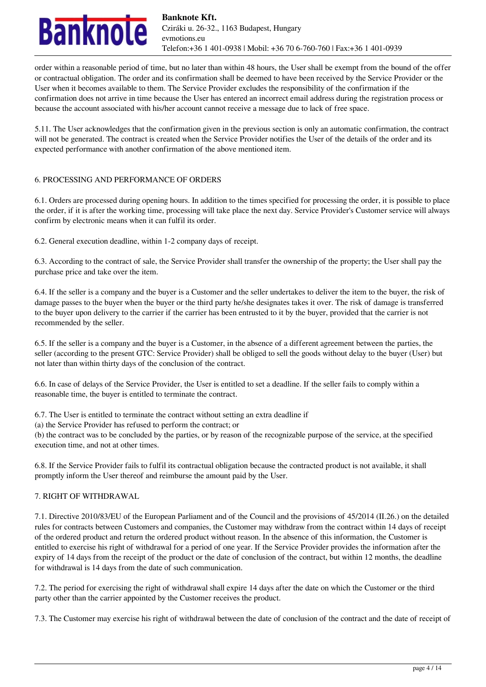

order within a reasonable period of time, but no later than within 48 hours, the User shall be exempt from the bound of the offer or contractual obligation. The order and its confirmation shall be deemed to have been received by the Service Provider or the User when it becomes available to them. The Service Provider excludes the responsibility of the confirmation if the confirmation does not arrive in time because the User has entered an incorrect email address during the registration process or because the account associated with his/her account cannot receive a message due to lack of free space.

5.11. The User acknowledges that the confirmation given in the previous section is only an automatic confirmation, the contract will not be generated. The contract is created when the Service Provider notifies the User of the details of the order and its expected performance with another confirmation of the above mentioned item.

# 6. PROCESSING AND PERFORMANCE OF ORDERS

6.1. Orders are processed during opening hours. In addition to the times specified for processing the order, it is possible to place the order, if it is after the working time, processing will take place the next day. Service Provider's Customer service will always confirm by electronic means when it can fulfil its order.

6.2. General execution deadline, within 1-2 company days of receipt.

6.3. According to the contract of sale, the Service Provider shall transfer the ownership of the property; the User shall pay the purchase price and take over the item.

6.4. If the seller is a company and the buyer is a Customer and the seller undertakes to deliver the item to the buyer, the risk of damage passes to the buyer when the buyer or the third party he/she designates takes it over. The risk of damage is transferred to the buyer upon delivery to the carrier if the carrier has been entrusted to it by the buyer, provided that the carrier is not recommended by the seller.

6.5. If the seller is a company and the buyer is a Customer, in the absence of a different agreement between the parties, the seller (according to the present GTC: Service Provider) shall be obliged to sell the goods without delay to the buyer (User) but not later than within thirty days of the conclusion of the contract.

6.6. In case of delays of the Service Provider, the User is entitled to set a deadline. If the seller fails to comply within a reasonable time, the buyer is entitled to terminate the contract.

6.7. The User is entitled to terminate the contract without setting an extra deadline if

(a) the Service Provider has refused to perform the contract; or

(b) the contract was to be concluded by the parties, or by reason of the recognizable purpose of the service, at the specified execution time, and not at other times.

6.8. If the Service Provider fails to fulfil its contractual obligation because the contracted product is not available, it shall promptly inform the User thereof and reimburse the amount paid by the User.

# 7. RIGHT OF WITHDRAWAL

7.1. Directive 2010/83/EU of the European Parliament and of the Council and the provisions of 45/2014 (II.26.) on the detailed rules for contracts between Customers and companies, the Customer may withdraw from the contract within 14 days of receipt of the ordered product and return the ordered product without reason. In the absence of this information, the Customer is entitled to exercise his right of withdrawal for a period of one year. If the Service Provider provides the information after the expiry of 14 days from the receipt of the product or the date of conclusion of the contract, but within 12 months, the deadline for withdrawal is 14 days from the date of such communication.

7.2. The period for exercising the right of withdrawal shall expire 14 days after the date on which the Customer or the third party other than the carrier appointed by the Customer receives the product.

7.3. The Customer may exercise his right of withdrawal between the date of conclusion of the contract and the date of receipt of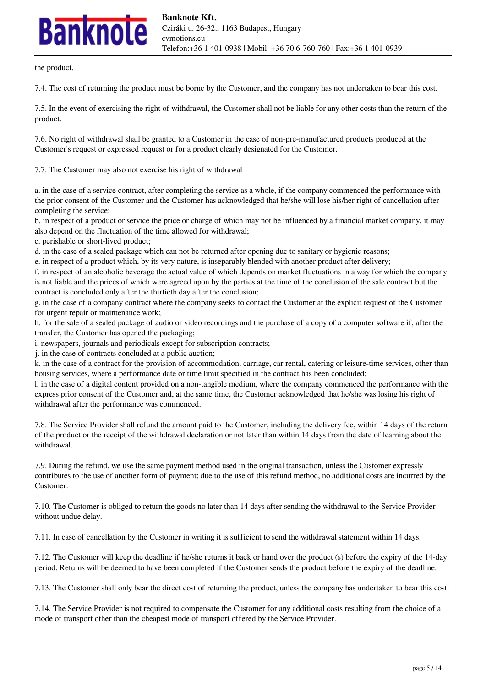# **nknole**

the product.

7.4. The cost of returning the product must be borne by the Customer, and the company has not undertaken to bear this cost.

7.5. In the event of exercising the right of withdrawal, the Customer shall not be liable for any other costs than the return of the product.

7.6. No right of withdrawal shall be granted to a Customer in the case of non-pre-manufactured products produced at the Customer's request or expressed request or for a product clearly designated for the Customer.

7.7. The Customer may also not exercise his right of withdrawal

a. in the case of a service contract, after completing the service as a whole, if the company commenced the performance with the prior consent of the Customer and the Customer has acknowledged that he/she will lose his/her right of cancellation after completing the service;

b. in respect of a product or service the price or charge of which may not be influenced by a financial market company, it may also depend on the fluctuation of the time allowed for withdrawal;

c. perishable or short-lived product;

d. in the case of a sealed package which can not be returned after opening due to sanitary or hygienic reasons;

e. in respect of a product which, by its very nature, is inseparably blended with another product after delivery;

f. in respect of an alcoholic beverage the actual value of which depends on market fluctuations in a way for which the company is not liable and the prices of which were agreed upon by the parties at the time of the conclusion of the sale contract but the contract is concluded only after the thirtieth day after the conclusion;

g. in the case of a company contract where the company seeks to contact the Customer at the explicit request of the Customer for urgent repair or maintenance work;

h. for the sale of a sealed package of audio or video recordings and the purchase of a copy of a computer software if, after the transfer, the Customer has opened the packaging;

i. newspapers, journals and periodicals except for subscription contracts;

j. in the case of contracts concluded at a public auction;

k. in the case of a contract for the provision of accommodation, carriage, car rental, catering or leisure-time services, other than housing services, where a performance date or time limit specified in the contract has been concluded;

l. in the case of a digital content provided on a non-tangible medium, where the company commenced the performance with the express prior consent of the Customer and, at the same time, the Customer acknowledged that he/she was losing his right of withdrawal after the performance was commenced.

7.8. The Service Provider shall refund the amount paid to the Customer, including the delivery fee, within 14 days of the return of the product or the receipt of the withdrawal declaration or not later than within 14 days from the date of learning about the withdrawal.

7.9. During the refund, we use the same payment method used in the original transaction, unless the Customer expressly contributes to the use of another form of payment; due to the use of this refund method, no additional costs are incurred by the Customer.

7.10. The Customer is obliged to return the goods no later than 14 days after sending the withdrawal to the Service Provider without undue delay.

7.11. In case of cancellation by the Customer in writing it is sufficient to send the withdrawal statement within 14 days.

7.12. The Customer will keep the deadline if he/she returns it back or hand over the product (s) before the expiry of the 14-day period. Returns will be deemed to have been completed if the Customer sends the product before the expiry of the deadline.

7.13. The Customer shall only bear the direct cost of returning the product, unless the company has undertaken to bear this cost.

7.14. The Service Provider is not required to compensate the Customer for any additional costs resulting from the choice of a mode of transport other than the cheapest mode of transport offered by the Service Provider.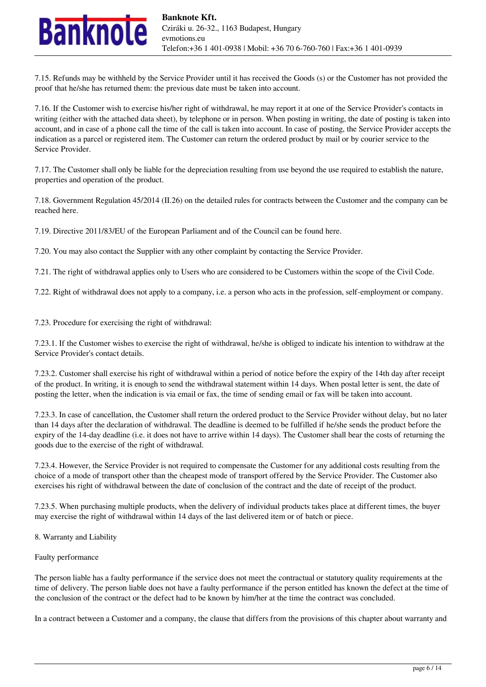

7.15. Refunds may be withheld by the Service Provider until it has received the Goods (s) or the Customer has not provided the proof that he/she has returned them: the previous date must be taken into account.

7.16. If the Customer wish to exercise his/her right of withdrawal, he may report it at one of the Service Provider's contacts in writing (either with the attached data sheet), by telephone or in person. When posting in writing, the date of posting is taken into account, and in case of a phone call the time of the call is taken into account. In case of posting, the Service Provider accepts the indication as a parcel or registered item. The Customer can return the ordered product by mail or by courier service to the Service Provider.

7.17. The Customer shall only be liable for the depreciation resulting from use beyond the use required to establish the nature, properties and operation of the product.

7.18. Government Regulation 45/2014 (II.26) on the detailed rules for contracts between the Customer and the company can be reached here.

7.19. Directive 2011/83/EU of the European Parliament and of the Council can be found here.

7.20. You may also contact the Supplier with any other complaint by contacting the Service Provider.

7.21. The right of withdrawal applies only to Users who are considered to be Customers within the scope of the Civil Code.

7.22. Right of withdrawal does not apply to a company, i.e. a person who acts in the profession, self-employment or company.

7.23. Procedure for exercising the right of withdrawal:

7.23.1. If the Customer wishes to exercise the right of withdrawal, he/she is obliged to indicate his intention to withdraw at the Service Provider's contact details.

7.23.2. Customer shall exercise his right of withdrawal within a period of notice before the expiry of the 14th day after receipt of the product. In writing, it is enough to send the withdrawal statement within 14 days. When postal letter is sent, the date of posting the letter, when the indication is via email or fax, the time of sending email or fax will be taken into account.

7.23.3. In case of cancellation, the Customer shall return the ordered product to the Service Provider without delay, but no later than 14 days after the declaration of withdrawal. The deadline is deemed to be fulfilled if he/she sends the product before the expiry of the 14-day deadline (i.e. it does not have to arrive within 14 days). The Customer shall bear the costs of returning the goods due to the exercise of the right of withdrawal.

7.23.4. However, the Service Provider is not required to compensate the Customer for any additional costs resulting from the choice of a mode of transport other than the cheapest mode of transport offered by the Service Provider. The Customer also exercises his right of withdrawal between the date of conclusion of the contract and the date of receipt of the product.

7.23.5. When purchasing multiple products, when the delivery of individual products takes place at different times, the buyer may exercise the right of withdrawal within 14 days of the last delivered item or of batch or piece.

8. Warranty and Liability

### Faulty performance

The person liable has a faulty performance if the service does not meet the contractual or statutory quality requirements at the time of delivery. The person liable does not have a faulty performance if the person entitled has known the defect at the time of the conclusion of the contract or the defect had to be known by him/her at the time the contract was concluded.

In a contract between a Customer and a company, the clause that differs from the provisions of this chapter about warranty and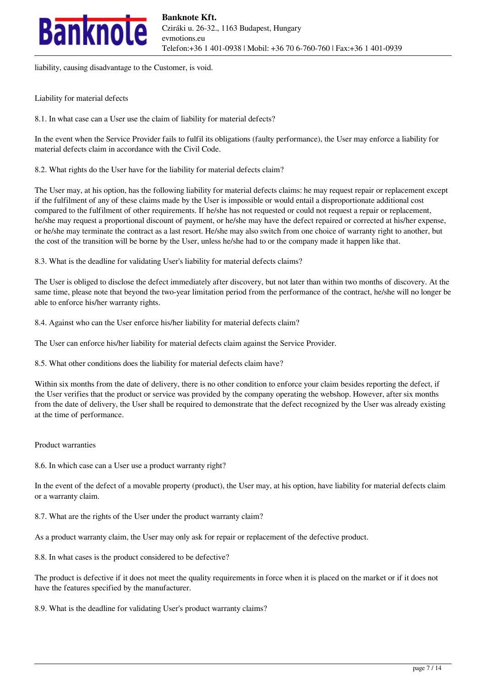

liability, causing disadvantage to the Customer, is void.

Liability for material defects

8.1. In what case can a User use the claim of liability for material defects?

In the event when the Service Provider fails to fulfil its obligations (faulty performance), the User may enforce a liability for material defects claim in accordance with the Civil Code.

8.2. What rights do the User have for the liability for material defects claim?

The User may, at his option, has the following liability for material defects claims: he may request repair or replacement except if the fulfilment of any of these claims made by the User is impossible or would entail a disproportionate additional cost compared to the fulfilment of other requirements. If he/she has not requested or could not request a repair or replacement, he/she may request a proportional discount of payment, or he/she may have the defect repaired or corrected at his/her expense, or he/she may terminate the contract as a last resort. He/she may also switch from one choice of warranty right to another, but the cost of the transition will be borne by the User, unless he/she had to or the company made it happen like that.

8.3. What is the deadline for validating User's liability for material defects claims?

The User is obliged to disclose the defect immediately after discovery, but not later than within two months of discovery. At the same time, please note that beyond the two-year limitation period from the performance of the contract, he/she will no longer be able to enforce his/her warranty rights.

8.4. Against who can the User enforce his/her liability for material defects claim?

The User can enforce his/her liability for material defects claim against the Service Provider.

8.5. What other conditions does the liability for material defects claim have?

Within six months from the date of delivery, there is no other condition to enforce your claim besides reporting the defect, if the User verifies that the product or service was provided by the company operating the webshop. However, after six months from the date of delivery, the User shall be required to demonstrate that the defect recognized by the User was already existing at the time of performance.

### Product warranties

8.6. In which case can a User use a product warranty right?

In the event of the defect of a movable property (product), the User may, at his option, have liability for material defects claim or a warranty claim.

8.7. What are the rights of the User under the product warranty claim?

As a product warranty claim, the User may only ask for repair or replacement of the defective product.

8.8. In what cases is the product considered to be defective?

The product is defective if it does not meet the quality requirements in force when it is placed on the market or if it does not have the features specified by the manufacturer.

8.9. What is the deadline for validating User's product warranty claims?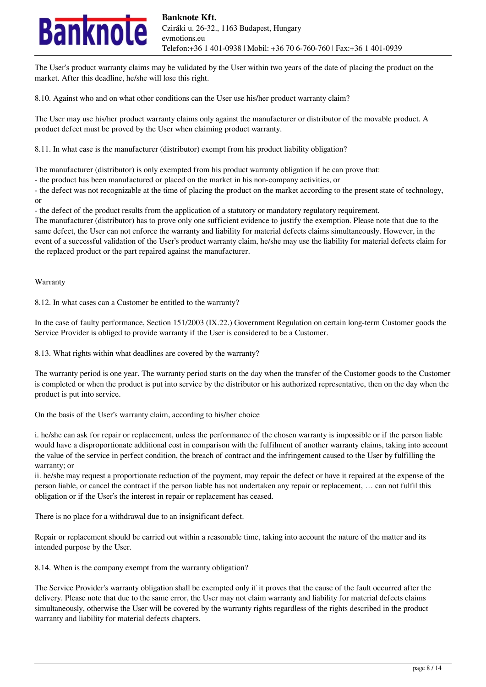

The User's product warranty claims may be validated by the User within two years of the date of placing the product on the market. After this deadline, he/she will lose this right.

8.10. Against who and on what other conditions can the User use his/her product warranty claim?

The User may use his/her product warranty claims only against the manufacturer or distributor of the movable product. A product defect must be proved by the User when claiming product warranty.

8.11. In what case is the manufacturer (distributor) exempt from his product liability obligation?

The manufacturer (distributor) is only exempted from his product warranty obligation if he can prove that:

- the product has been manufactured or placed on the market in his non-company activities, or

- the defect was not recognizable at the time of placing the product on the market according to the present state of technology, or

- the defect of the product results from the application of a statutory or mandatory regulatory requirement.

The manufacturer (distributor) has to prove only one sufficient evidence to justify the exemption. Please note that due to the same defect, the User can not enforce the warranty and liability for material defects claims simultaneously. However, in the event of a successful validation of the User's product warranty claim, he/she may use the liability for material defects claim for the replaced product or the part repaired against the manufacturer.

Warranty

8.12. In what cases can a Customer be entitled to the warranty?

In the case of faulty performance, Section 151/2003 (IX.22.) Government Regulation on certain long-term Customer goods the Service Provider is obliged to provide warranty if the User is considered to be a Customer.

8.13. What rights within what deadlines are covered by the warranty?

The warranty period is one year. The warranty period starts on the day when the transfer of the Customer goods to the Customer is completed or when the product is put into service by the distributor or his authorized representative, then on the day when the product is put into service.

On the basis of the User's warranty claim, according to his/her choice

i. he/she can ask for repair or replacement, unless the performance of the chosen warranty is impossible or if the person liable would have a disproportionate additional cost in comparison with the fulfilment of another warranty claims, taking into account the value of the service in perfect condition, the breach of contract and the infringement caused to the User by fulfilling the warranty; or

ii. he/she may request a proportionate reduction of the payment, may repair the defect or have it repaired at the expense of the person liable, or cancel the contract if the person liable has not undertaken any repair or replacement, … can not fulfil this obligation or if the User's the interest in repair or replacement has ceased.

There is no place for a withdrawal due to an insignificant defect.

Repair or replacement should be carried out within a reasonable time, taking into account the nature of the matter and its intended purpose by the User.

8.14. When is the company exempt from the warranty obligation?

The Service Provider's warranty obligation shall be exempted only if it proves that the cause of the fault occurred after the delivery. Please note that due to the same error, the User may not claim warranty and liability for material defects claims simultaneously, otherwise the User will be covered by the warranty rights regardless of the rights described in the product warranty and liability for material defects chapters.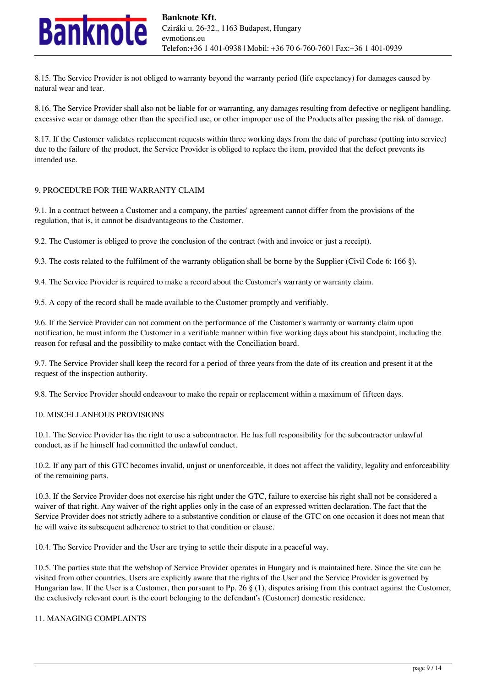

8.15. The Service Provider is not obliged to warranty beyond the warranty period (life expectancy) for damages caused by natural wear and tear.

8.16. The Service Provider shall also not be liable for or warranting, any damages resulting from defective or negligent handling, excessive wear or damage other than the specified use, or other improper use of the Products after passing the risk of damage.

8.17. If the Customer validates replacement requests within three working days from the date of purchase (putting into service) due to the failure of the product, the Service Provider is obliged to replace the item, provided that the defect prevents its intended use.

### 9. PROCEDURE FOR THE WARRANTY CLAIM

9.1. In a contract between a Customer and a company, the parties' agreement cannot differ from the provisions of the regulation, that is, it cannot be disadvantageous to the Customer.

9.2. The Customer is obliged to prove the conclusion of the contract (with and invoice or just a receipt).

9.3. The costs related to the fulfilment of the warranty obligation shall be borne by the Supplier (Civil Code 6: 166 §).

9.4. The Service Provider is required to make a record about the Customer's warranty or warranty claim.

9.5. A copy of the record shall be made available to the Customer promptly and verifiably.

9.6. If the Service Provider can not comment on the performance of the Customer's warranty or warranty claim upon notification, he must inform the Customer in a verifiable manner within five working days about his standpoint, including the reason for refusal and the possibility to make contact with the Conciliation board.

9.7. The Service Provider shall keep the record for a period of three years from the date of its creation and present it at the request of the inspection authority.

9.8. The Service Provider should endeavour to make the repair or replacement within a maximum of fifteen days.

### 10. MISCELLANEOUS PROVISIONS

10.1. The Service Provider has the right to use a subcontractor. He has full responsibility for the subcontractor unlawful conduct, as if he himself had committed the unlawful conduct.

10.2. If any part of this GTC becomes invalid, unjust or unenforceable, it does not affect the validity, legality and enforceability of the remaining parts.

10.3. If the Service Provider does not exercise his right under the GTC, failure to exercise his right shall not be considered a waiver of that right. Any waiver of the right applies only in the case of an expressed written declaration. The fact that the Service Provider does not strictly adhere to a substantive condition or clause of the GTC on one occasion it does not mean that he will waive its subsequent adherence to strict to that condition or clause.

10.4. The Service Provider and the User are trying to settle their dispute in a peaceful way.

10.5. The parties state that the webshop of Service Provider operates in Hungary and is maintained here. Since the site can be visited from other countries, Users are explicitly aware that the rights of the User and the Service Provider is governed by Hungarian law. If the User is a Customer, then pursuant to Pp. 26 § (1), disputes arising from this contract against the Customer, the exclusively relevant court is the court belonging to the defendant's (Customer) domestic residence.

### 11. MANAGING COMPLAINTS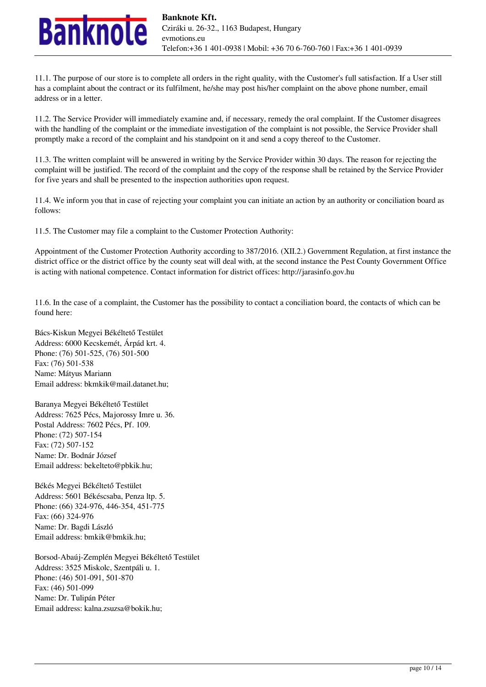

11.1. The purpose of our store is to complete all orders in the right quality, with the Customer's full satisfaction. If a User still has a complaint about the contract or its fulfilment, he/she may post his/her complaint on the above phone number, email address or in a letter.

11.2. The Service Provider will immediately examine and, if necessary, remedy the oral complaint. If the Customer disagrees with the handling of the complaint or the immediate investigation of the complaint is not possible, the Service Provider shall promptly make a record of the complaint and his standpoint on it and send a copy thereof to the Customer.

11.3. The written complaint will be answered in writing by the Service Provider within 30 days. The reason for rejecting the complaint will be justified. The record of the complaint and the copy of the response shall be retained by the Service Provider for five years and shall be presented to the inspection authorities upon request.

11.4. We inform you that in case of rejecting your complaint you can initiate an action by an authority or conciliation board as follows:

11.5. The Customer may file a complaint to the Customer Protection Authority:

Appointment of the Customer Protection Authority according to 387/2016. (XII.2.) Government Regulation, at first instance the district office or the district office by the county seat will deal with, at the second instance the Pest County Government Office is acting with national competence. Contact information for district offices: http://jarasinfo.gov.hu

11.6. In the case of a complaint, the Customer has the possibility to contact a conciliation board, the contacts of which can be found here:

Bács-Kiskun Megyei Békéltető Testület Address: 6000 Kecskemét, Árpád krt. 4. Phone: (76) 501-525, (76) 501-500 Fax: (76) 501-538 Name: Mátyus Mariann Email address: bkmkik@mail.datanet.hu;

Baranya Megyei Békéltető Testület Address: 7625 Pécs, Majorossy Imre u. 36. Postal Address: 7602 Pécs, Pf. 109. Phone: (72) 507-154 Fax: (72) 507-152 Name: Dr. Bodnár József Email address: bekelteto@pbkik.hu;

Békés Megyei Békéltető Testület Address: 5601 Békéscsaba, Penza ltp. 5. Phone: (66) 324-976, 446-354, 451-775 Fax: (66) 324-976 Name: Dr. Bagdi László Email address: bmkik@bmkik.hu;

Borsod-Abaúj-Zemplén Megyei Békéltető Testület Address: 3525 Miskolc, Szentpáli u. 1. Phone: (46) 501-091, 501-870 Fax: (46) 501-099 Name: Dr. Tulipán Péter Email address: kalna.zsuzsa@bokik.hu;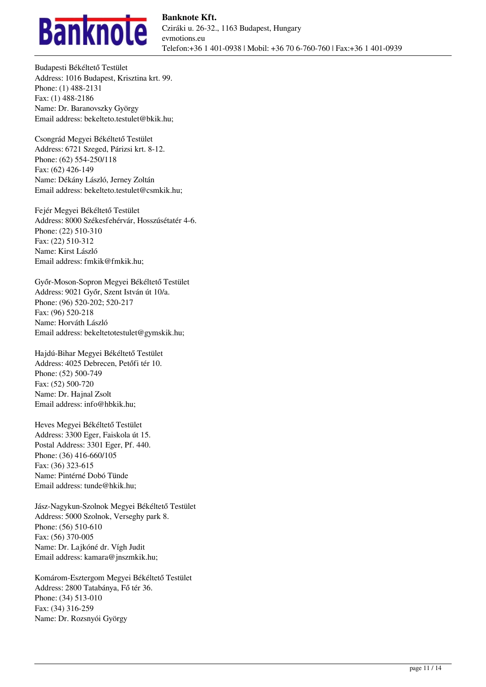

Budapesti Békéltető Testület Address: 1016 Budapest, Krisztina krt. 99. Phone: (1) 488-2131 Fax: (1) 488-2186 Name: Dr. Baranovszky György Email address: bekelteto.testulet@bkik.hu;

Csongrád Megyei Békéltető Testület Address: 6721 Szeged, Párizsi krt. 8-12. Phone: (62) 554-250/118 Fax: (62) 426-149 Name: Dékány László, Jerney Zoltán Email address: bekelteto.testulet@csmkik.hu;

Fejér Megyei Békéltető Testület Address: 8000 Székesfehérvár, Hosszúsétatér 4-6. Phone: (22) 510-310 Fax: (22) 510-312 Name: Kirst László Email address: fmkik@fmkik.hu;

Győr-Moson-Sopron Megyei Békéltető Testület Address: 9021 Győr, Szent István út 10/a. Phone: (96) 520-202; 520-217 Fax: (96) 520-218 Name: Horváth László Email address: bekeltetotestulet@gymskik.hu;

Hajdú-Bihar Megyei Békéltető Testület Address: 4025 Debrecen, Petőfi tér 10. Phone: (52) 500-749 Fax: (52) 500-720 Name: Dr. Hajnal Zsolt Email address: info@hbkik.hu;

Heves Megyei Békéltető Testület Address: 3300 Eger, Faiskola út 15. Postal Address: 3301 Eger, Pf. 440. Phone: (36) 416-660/105 Fax: (36) 323-615 Name: Pintérné Dobó Tünde Email address: tunde@hkik.hu;

Jász-Nagykun-Szolnok Megyei Békéltető Testület Address: 5000 Szolnok, Verseghy park 8. Phone: (56) 510-610 Fax: (56) 370-005 Name: Dr. Lajkóné dr. Vígh Judit Email address: kamara@jnszmkik.hu;

Komárom-Esztergom Megyei Békéltető Testület Address: 2800 Tatabánya, Fő tér 36. Phone: (34) 513-010 Fax: (34) 316-259 Name: Dr. Rozsnyói György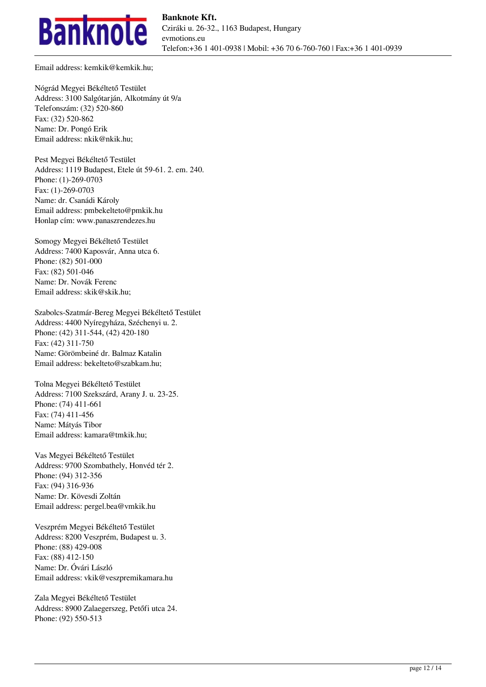

Email address: kemkik@kemkik.hu;

Nógrád Megyei Békéltető Testület Address: 3100 Salgótarján, Alkotmány út 9/a Telefonszám: (32) 520-860 Fax: (32) 520-862 Name: Dr. Pongó Erik Email address: nkik@nkik.hu;

Pest Megyei Békéltető Testület Address: 1119 Budapest, Etele út 59-61. 2. em. 240. Phone: (1)-269-0703 Fax: (1)-269-0703 Name: dr. Csanádi Károly Email address: pmbekelteto@pmkik.hu Honlap cím: www.panaszrendezes.hu

Somogy Megyei Békéltető Testület Address: 7400 Kaposvár, Anna utca 6. Phone: (82) 501-000 Fax: (82) 501-046 Name: Dr. Novák Ferenc Email address: skik@skik.hu;

Szabolcs-Szatmár-Bereg Megyei Békéltető Testület Address: 4400 Nyíregyháza, Széchenyi u. 2. Phone: (42) 311-544, (42) 420-180 Fax: (42) 311-750 Name: Görömbeiné dr. Balmaz Katalin Email address: bekelteto@szabkam.hu;

Tolna Megyei Békéltető Testület Address: 7100 Szekszárd, Arany J. u. 23-25. Phone: (74) 411-661 Fax: (74) 411-456 Name: Mátyás Tibor Email address: kamara@tmkik.hu;

Vas Megyei Békéltető Testület Address: 9700 Szombathely, Honvéd tér 2. Phone: (94) 312-356 Fax: (94) 316-936 Name: Dr. Kövesdi Zoltán Email address: pergel.bea@vmkik.hu

Veszprém Megyei Békéltető Testület Address: 8200 Veszprém, Budapest u. 3. Phone: (88) 429-008 Fax: (88) 412-150 Name: Dr. Óvári László Email address: vkik@veszpremikamara.hu

Zala Megyei Békéltető Testület Address: 8900 Zalaegerszeg, Petőfi utca 24. Phone: (92) 550-513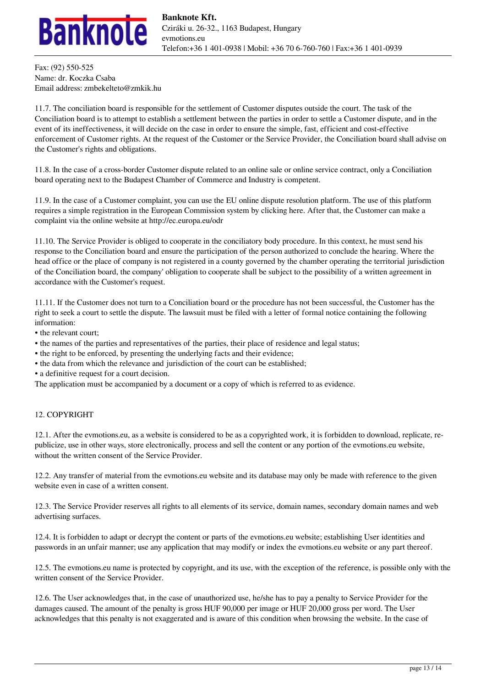

Fax: (92) 550-525 Name: dr. Koczka Csaba Email address: zmbekelteto@zmkik.hu

11.7. The conciliation board is responsible for the settlement of Customer disputes outside the court. The task of the Conciliation board is to attempt to establish a settlement between the parties in order to settle a Customer dispute, and in the event of its ineffectiveness, it will decide on the case in order to ensure the simple, fast, efficient and cost-effective enforcement of Customer rights. At the request of the Customer or the Service Provider, the Conciliation board shall advise on the Customer's rights and obligations.

11.8. In the case of a cross-border Customer dispute related to an online sale or online service contract, only a Conciliation board operating next to the Budapest Chamber of Commerce and Industry is competent.

11.9. In the case of a Customer complaint, you can use the EU online dispute resolution platform. The use of this platform requires a simple registration in the European Commission system by clicking here. After that, the Customer can make a complaint via the online website at http://ec.europa.eu/odr

11.10. The Service Provider is obliged to cooperate in the conciliatory body procedure. In this context, he must send his response to the Conciliation board and ensure the participation of the person authorized to conclude the hearing. Where the head office or the place of company is not registered in a county governed by the chamber operating the territorial jurisdiction of the Conciliation board, the company' obligation to cooperate shall be subject to the possibility of a written agreement in accordance with the Customer's request.

11.11. If the Customer does not turn to a Conciliation board or the procedure has not been successful, the Customer has the right to seek a court to settle the dispute. The lawsuit must be filed with a letter of formal notice containing the following information:

- the relevant court;
- the names of the parties and representatives of the parties, their place of residence and legal status;
- the right to be enforced, by presenting the underlying facts and their evidence;
- the data from which the relevance and jurisdiction of the court can be established;
- a definitive request for a court decision.

The application must be accompanied by a document or a copy of which is referred to as evidence.

# 12. COPYRIGHT

12.1. After the evmotions.eu, as a website is considered to be as a copyrighted work, it is forbidden to download, replicate, republicize, use in other ways, store electronically, process and sell the content or any portion of the evmotions.eu website, without the written consent of the Service Provider.

12.2. Any transfer of material from the evmotions.eu website and its database may only be made with reference to the given website even in case of a written consent.

12.3. The Service Provider reserves all rights to all elements of its service, domain names, secondary domain names and web advertising surfaces.

12.4. It is forbidden to adapt or decrypt the content or parts of the evmotions.eu website; establishing User identities and passwords in an unfair manner; use any application that may modify or index the evmotions.eu website or any part thereof.

12.5. The evmotions.eu name is protected by copyright, and its use, with the exception of the reference, is possible only with the written consent of the Service Provider.

12.6. The User acknowledges that, in the case of unauthorized use, he/she has to pay a penalty to Service Provider for the damages caused. The amount of the penalty is gross HUF 90,000 per image or HUF 20,000 gross per word. The User acknowledges that this penalty is not exaggerated and is aware of this condition when browsing the website. In the case of